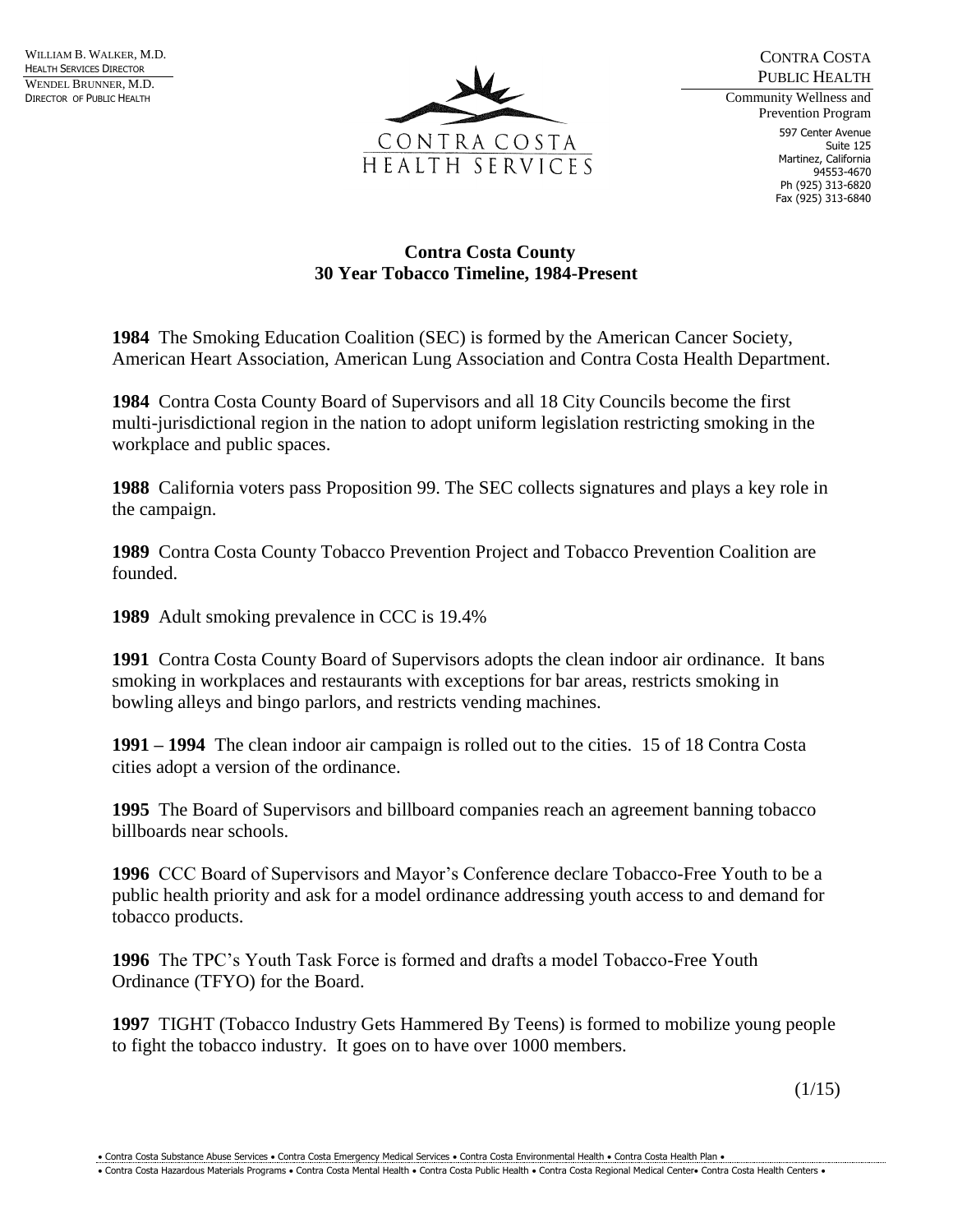

CONTRA COSTA PUBLIC HEALTH Community Wellness and

Prevention Program 597 Center Avenue Suite 125 Martinez, California 94553-4670 Ph (925) 313-6820 Fax (925) 313-6840

## **Contra Costa County 30 Year Tobacco Timeline, 1984-Present**

**1984** The Smoking Education Coalition (SEC) is formed by the American Cancer Society, American Heart Association, American Lung Association and Contra Costa Health Department.

**1984** Contra Costa County Board of Supervisors and all 18 City Councils become the first multi-jurisdictional region in the nation to adopt uniform legislation restricting smoking in the workplace and public spaces.

**1988** California voters pass Proposition 99. The SEC collects signatures and plays a key role in the campaign.

**1989** Contra Costa County Tobacco Prevention Project and Tobacco Prevention Coalition are founded.

**1989** Adult smoking prevalence in CCC is 19.4%

**1991** Contra Costa County Board of Supervisors adopts the clean indoor air ordinance. It bans smoking in workplaces and restaurants with exceptions for bar areas, restricts smoking in bowling alleys and bingo parlors, and restricts vending machines.

**1991 – 1994** The clean indoor air campaign is rolled out to the cities. 15 of 18 Contra Costa cities adopt a version of the ordinance.

**1995** The Board of Supervisors and billboard companies reach an agreement banning tobacco billboards near schools.

**1996** CCC Board of Supervisors and Mayor's Conference declare Tobacco-Free Youth to be a public health priority and ask for a model ordinance addressing youth access to and demand for tobacco products.

**1996** The TPC's Youth Task Force is formed and drafts a model Tobacco-Free Youth Ordinance (TFYO) for the Board.

**1997** TIGHT (Tobacco Industry Gets Hammered By Teens) is formed to mobilize young people to fight the tobacco industry. It goes on to have over 1000 members.

 $(1/15)$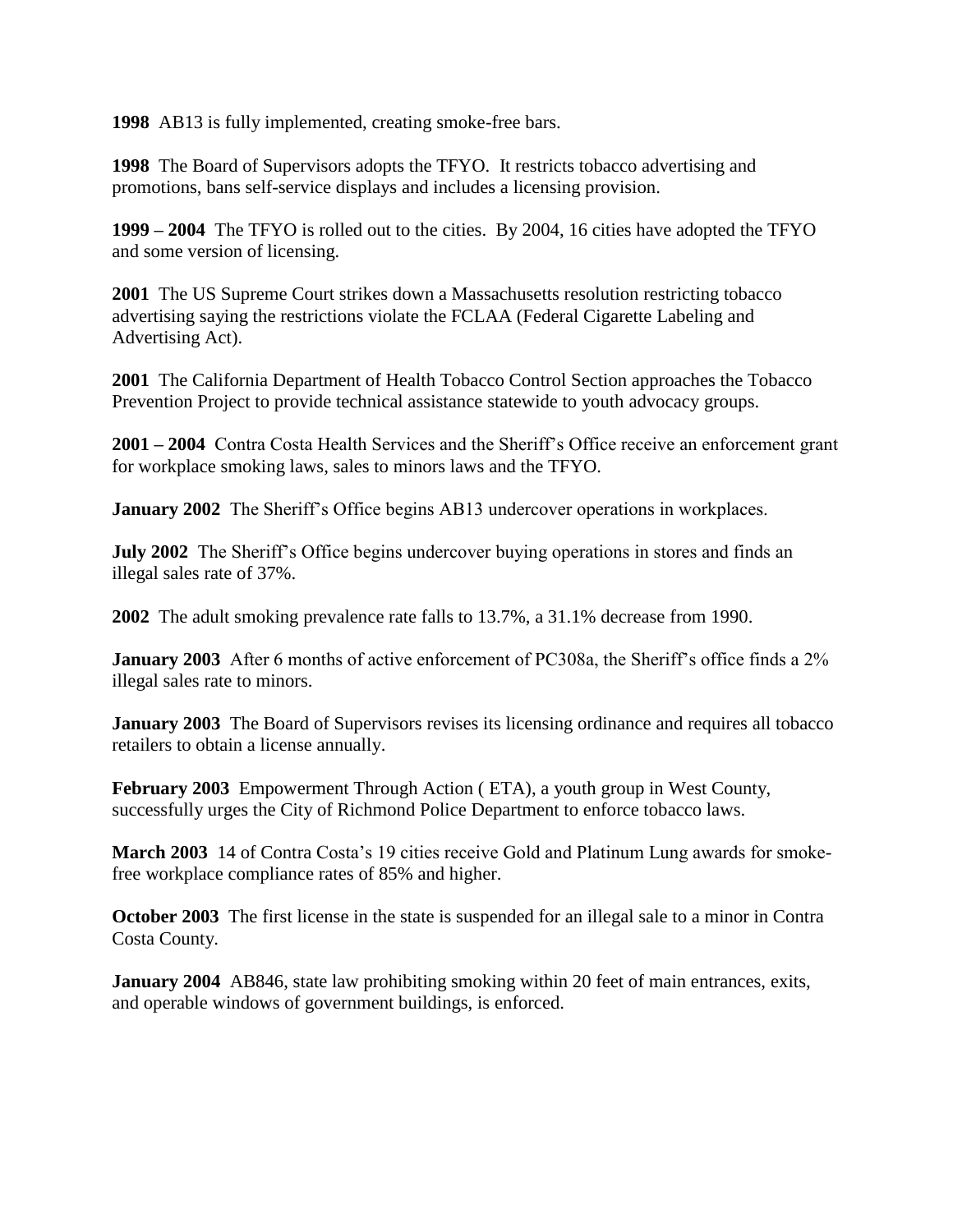**1998** AB13 is fully implemented, creating smoke-free bars.

**1998** The Board of Supervisors adopts the TFYO. It restricts tobacco advertising and promotions, bans self-service displays and includes a licensing provision.

**1999 – 2004** The TFYO is rolled out to the cities. By 2004, 16 cities have adopted the TFYO and some version of licensing.

**2001** The US Supreme Court strikes down a Massachusetts resolution restricting tobacco advertising saying the restrictions violate the FCLAA (Federal Cigarette Labeling and Advertising Act).

**2001** The California Department of Health Tobacco Control Section approaches the Tobacco Prevention Project to provide technical assistance statewide to youth advocacy groups.

**2001 – 2004** Contra Costa Health Services and the Sheriff's Office receive an enforcement grant for workplace smoking laws, sales to minors laws and the TFYO.

**January 2002** The Sheriff's Office begins AB13 undercover operations in workplaces.

**July 2002** The Sheriff's Office begins undercover buying operations in stores and finds an illegal sales rate of 37%.

**2002** The adult smoking prevalence rate falls to 13.7%, a 31.1% decrease from 1990.

**January 2003** After 6 months of active enforcement of PC308a, the Sheriff's office finds a 2% illegal sales rate to minors.

**January 2003** The Board of Supervisors revises its licensing ordinance and requires all tobacco retailers to obtain a license annually.

**February 2003** Empowerment Through Action ( ETA), a youth group in West County, successfully urges the City of Richmond Police Department to enforce tobacco laws.

**March 2003** 14 of Contra Costa's 19 cities receive Gold and Platinum Lung awards for smokefree workplace compliance rates of 85% and higher.

**October 2003** The first license in the state is suspended for an illegal sale to a minor in Contra Costa County.

**January 2004** AB846, state law prohibiting smoking within 20 feet of main entrances, exits, and operable windows of government buildings, is enforced.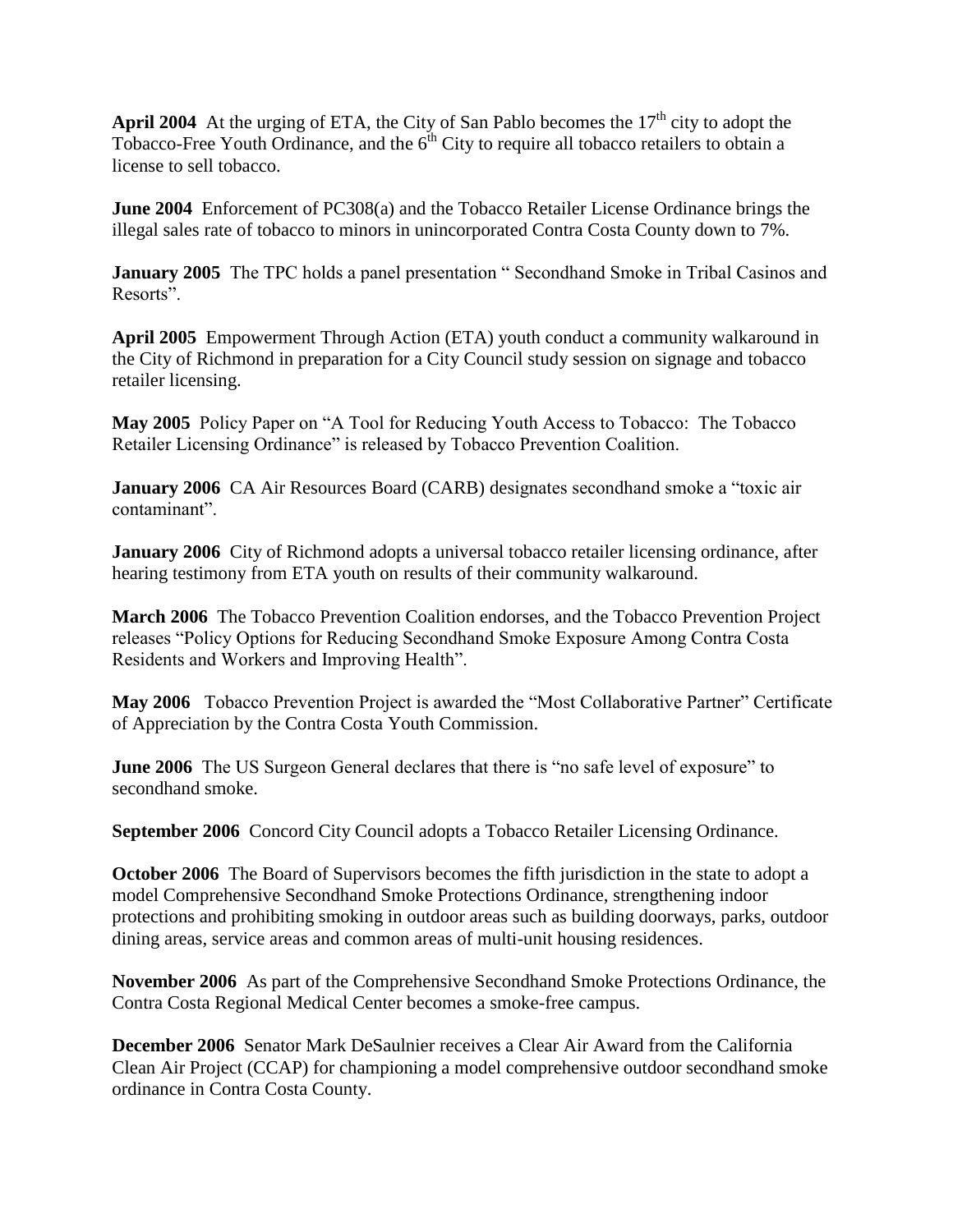**April 2004** At the urging of ETA, the City of San Pablo becomes the  $17<sup>th</sup>$  city to adopt the Tobacco-Free Youth Ordinance, and the  $6<sup>th</sup>$  City to require all tobacco retailers to obtain a license to sell tobacco.

**June 2004** Enforcement of PC308(a) and the Tobacco Retailer License Ordinance brings the illegal sales rate of tobacco to minors in unincorporated Contra Costa County down to 7%.

**January 2005** The TPC holds a panel presentation "Secondhand Smoke in Tribal Casinos and Resorts".

**April 2005** Empowerment Through Action (ETA) youth conduct a community walkaround in the City of Richmond in preparation for a City Council study session on signage and tobacco retailer licensing.

**May 2005** Policy Paper on "A Tool for Reducing Youth Access to Tobacco: The Tobacco Retailer Licensing Ordinance" is released by Tobacco Prevention Coalition.

**January 2006** CA Air Resources Board (CARB) designates secondhand smoke a "toxic air contaminant".

**January 2006** City of Richmond adopts a universal tobacco retailer licensing ordinance, after hearing testimony from ETA youth on results of their community walkaround.

**March 2006** The Tobacco Prevention Coalition endorses, and the Tobacco Prevention Project releases "Policy Options for Reducing Secondhand Smoke Exposure Among Contra Costa Residents and Workers and Improving Health".

**May 2006** Tobacco Prevention Project is awarded the "Most Collaborative Partner" Certificate of Appreciation by the Contra Costa Youth Commission.

**June 2006** The US Surgeon General declares that there is "no safe level of exposure" to secondhand smoke.

**September 2006** Concord City Council adopts a Tobacco Retailer Licensing Ordinance.

**October 2006** The Board of Supervisors becomes the fifth jurisdiction in the state to adopt a model Comprehensive Secondhand Smoke Protections Ordinance, strengthening indoor protections and prohibiting smoking in outdoor areas such as building doorways, parks, outdoor dining areas, service areas and common areas of multi-unit housing residences.

**November 2006** As part of the Comprehensive Secondhand Smoke Protections Ordinance, the Contra Costa Regional Medical Center becomes a smoke-free campus.

**December 2006** Senator Mark DeSaulnier receives a Clear Air Award from the California Clean Air Project (CCAP) for championing a model comprehensive outdoor secondhand smoke ordinance in Contra Costa County.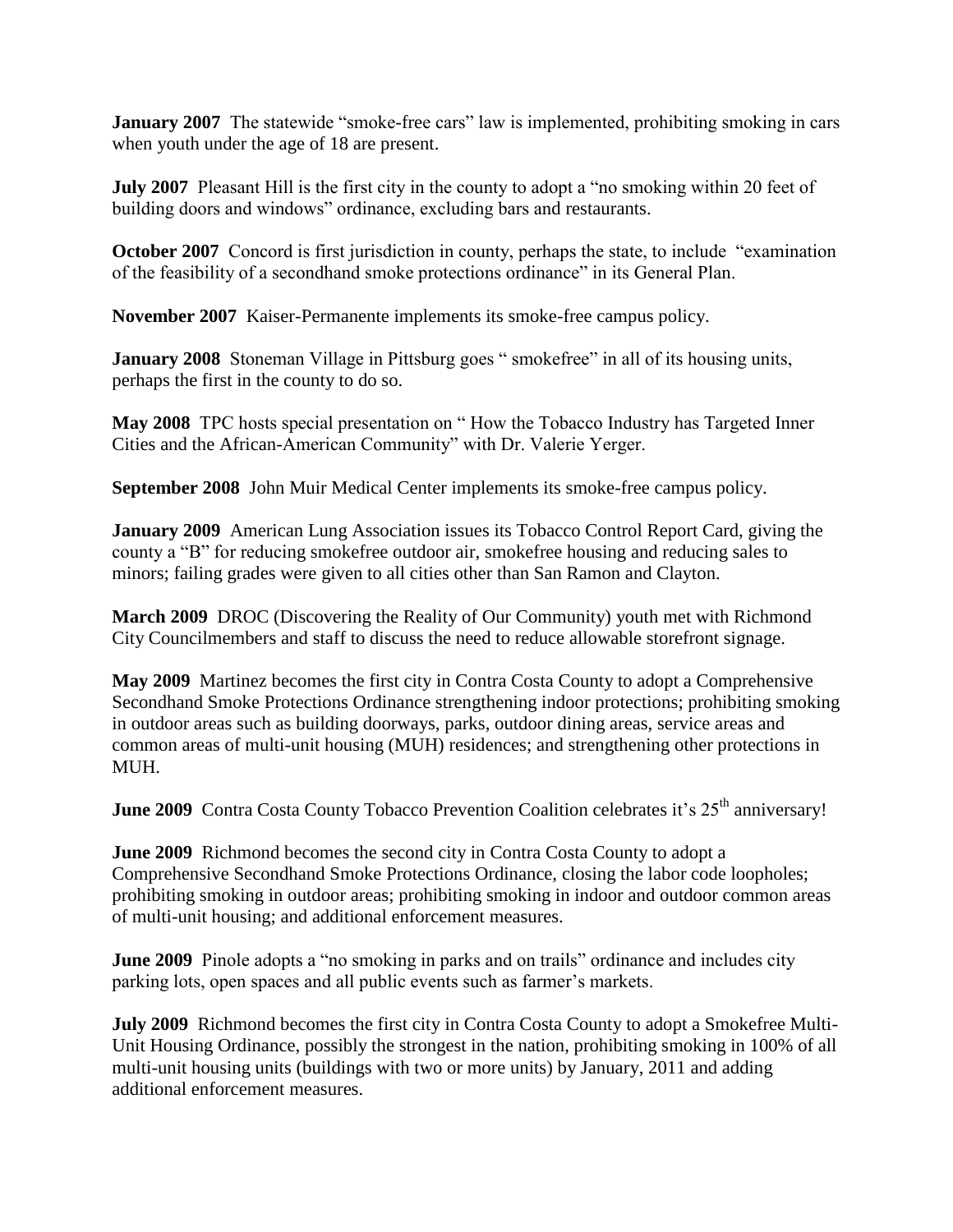**January 2007** The statewide "smoke-free cars" law is implemented, prohibiting smoking in cars when youth under the age of 18 are present.

**July 2007** Pleasant Hill is the first city in the county to adopt a "no smoking within 20 feet of building doors and windows" ordinance, excluding bars and restaurants.

**October 2007** Concord is first jurisdiction in county, perhaps the state, to include "examination" of the feasibility of a secondhand smoke protections ordinance" in its General Plan.

**November 2007** Kaiser-Permanente implements its smoke-free campus policy.

**January 2008** Stoneman Village in Pittsburg goes " smokefree" in all of its housing units, perhaps the first in the county to do so.

**May 2008** TPC hosts special presentation on " How the Tobacco Industry has Targeted Inner Cities and the African-American Community" with Dr. Valerie Yerger.

**September 2008** John Muir Medical Center implements its smoke-free campus policy.

**January 2009** American Lung Association issues its Tobacco Control Report Card, giving the county a "B" for reducing smokefree outdoor air, smokefree housing and reducing sales to minors; failing grades were given to all cities other than San Ramon and Clayton.

**March 2009** DROC (Discovering the Reality of Our Community) youth met with Richmond City Councilmembers and staff to discuss the need to reduce allowable storefront signage.

**May 2009** Martinez becomes the first city in Contra Costa County to adopt a Comprehensive Secondhand Smoke Protections Ordinance strengthening indoor protections; prohibiting smoking in outdoor areas such as building doorways, parks, outdoor dining areas, service areas and common areas of multi-unit housing (MUH) residences; and strengthening other protections in MUH.

**June 2009** Contra Costa County Tobacco Prevention Coalition celebrates it's 25<sup>th</sup> anniversary!

**June 2009** Richmond becomes the second city in Contra Costa County to adopt a Comprehensive Secondhand Smoke Protections Ordinance, closing the labor code loopholes; prohibiting smoking in outdoor areas; prohibiting smoking in indoor and outdoor common areas of multi-unit housing; and additional enforcement measures.

**June 2009** Pinole adopts a "no smoking in parks and on trails" ordinance and includes city parking lots, open spaces and all public events such as farmer's markets.

**July 2009** Richmond becomes the first city in Contra Costa County to adopt a Smokefree Multi-Unit Housing Ordinance, possibly the strongest in the nation, prohibiting smoking in 100% of all multi-unit housing units (buildings with two or more units) by January, 2011 and adding additional enforcement measures.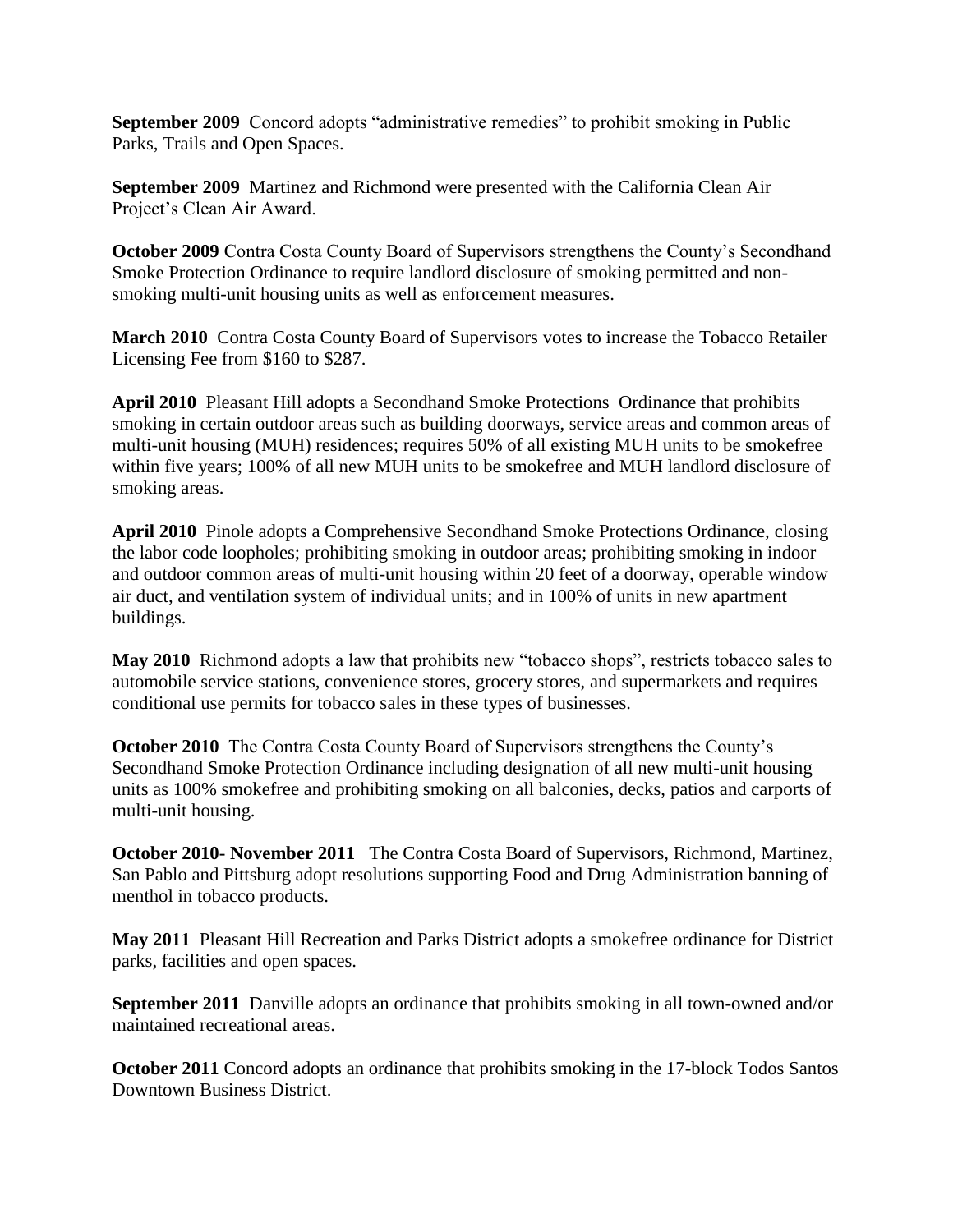**September 2009** Concord adopts "administrative remedies" to prohibit smoking in Public Parks, Trails and Open Spaces.

**September 2009** Martinez and Richmond were presented with the California Clean Air Project's Clean Air Award.

**October 2009** Contra Costa County Board of Supervisors strengthens the County's Secondhand Smoke Protection Ordinance to require landlord disclosure of smoking permitted and nonsmoking multi-unit housing units as well as enforcement measures.

**March 2010** Contra Costa County Board of Supervisors votes to increase the Tobacco Retailer Licensing Fee from \$160 to \$287.

**April 2010** Pleasant Hill adopts a Secondhand Smoke Protections Ordinance that prohibits smoking in certain outdoor areas such as building doorways, service areas and common areas of multi-unit housing (MUH) residences; requires 50% of all existing MUH units to be smokefree within five years; 100% of all new MUH units to be smokefree and MUH landlord disclosure of smoking areas.

**April 2010** Pinole adopts a Comprehensive Secondhand Smoke Protections Ordinance, closing the labor code loopholes; prohibiting smoking in outdoor areas; prohibiting smoking in indoor and outdoor common areas of multi-unit housing within 20 feet of a doorway, operable window air duct, and ventilation system of individual units; and in 100% of units in new apartment buildings.

**May 2010** Richmond adopts a law that prohibits new "tobacco shops", restricts tobacco sales to automobile service stations, convenience stores, grocery stores, and supermarkets and requires conditional use permits for tobacco sales in these types of businesses.

**October 2010** The Contra Costa County Board of Supervisors strengthens the County's Secondhand Smoke Protection Ordinance including designation of all new multi-unit housing units as 100% smokefree and prohibiting smoking on all balconies, decks, patios and carports of multi-unit housing.

**October 2010- November 2011** The Contra Costa Board of Supervisors, Richmond, Martinez, San Pablo and Pittsburg adopt resolutions supporting Food and Drug Administration banning of menthol in tobacco products.

**May 2011** Pleasant Hill Recreation and Parks District adopts a smokefree ordinance for District parks, facilities and open spaces.

**September 2011** Danville adopts an ordinance that prohibits smoking in all town-owned and/or maintained recreational areas.

**October 2011** Concord adopts an ordinance that prohibits smoking in the 17-block Todos Santos Downtown Business District.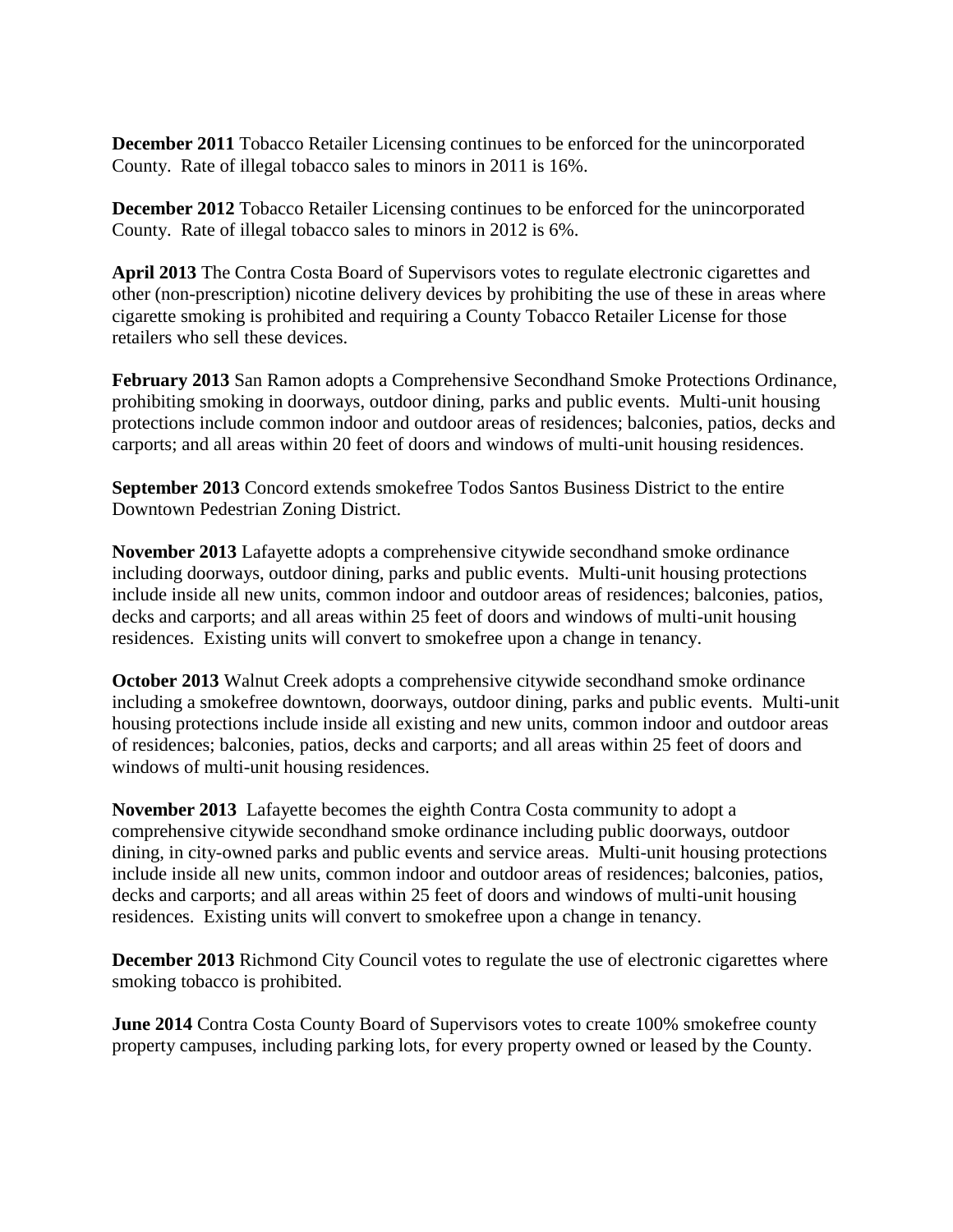**December 2011** Tobacco Retailer Licensing continues to be enforced for the unincorporated County. Rate of illegal tobacco sales to minors in 2011 is 16%.

**December 2012** Tobacco Retailer Licensing continues to be enforced for the unincorporated County. Rate of illegal tobacco sales to minors in 2012 is 6%.

**April 2013** The Contra Costa Board of Supervisors votes to regulate electronic cigarettes and other (non-prescription) nicotine delivery devices by prohibiting the use of these in areas where cigarette smoking is prohibited and requiring a County Tobacco Retailer License for those retailers who sell these devices.

**February 2013** San Ramon adopts a Comprehensive Secondhand Smoke Protections Ordinance, prohibiting smoking in doorways, outdoor dining, parks and public events. Multi-unit housing protections include common indoor and outdoor areas of residences; balconies, patios, decks and carports; and all areas within 20 feet of doors and windows of multi-unit housing residences.

**September 2013** Concord extends smokefree Todos Santos Business District to the entire Downtown Pedestrian Zoning District.

**November 2013** Lafayette adopts a comprehensive citywide secondhand smoke ordinance including doorways, outdoor dining, parks and public events. Multi-unit housing protections include inside all new units, common indoor and outdoor areas of residences; balconies, patios, decks and carports; and all areas within 25 feet of doors and windows of multi-unit housing residences. Existing units will convert to smokefree upon a change in tenancy.

**October 2013** Walnut Creek adopts a comprehensive citywide secondhand smoke ordinance including a smokefree downtown, doorways, outdoor dining, parks and public events. Multi-unit housing protections include inside all existing and new units, common indoor and outdoor areas of residences; balconies, patios, decks and carports; and all areas within 25 feet of doors and windows of multi-unit housing residences.

**November 2013** Lafayette becomes the eighth Contra Costa community to adopt a comprehensive citywide secondhand smoke ordinance including public doorways, outdoor dining, in city-owned parks and public events and service areas. Multi-unit housing protections include inside all new units, common indoor and outdoor areas of residences; balconies, patios, decks and carports; and all areas within 25 feet of doors and windows of multi-unit housing residences. Existing units will convert to smokefree upon a change in tenancy.

**December 2013** Richmond City Council votes to regulate the use of electronic cigarettes where smoking tobacco is prohibited.

**June 2014** Contra Costa County Board of Supervisors votes to create 100% smokefree county property campuses, including parking lots, for every property owned or leased by the County.